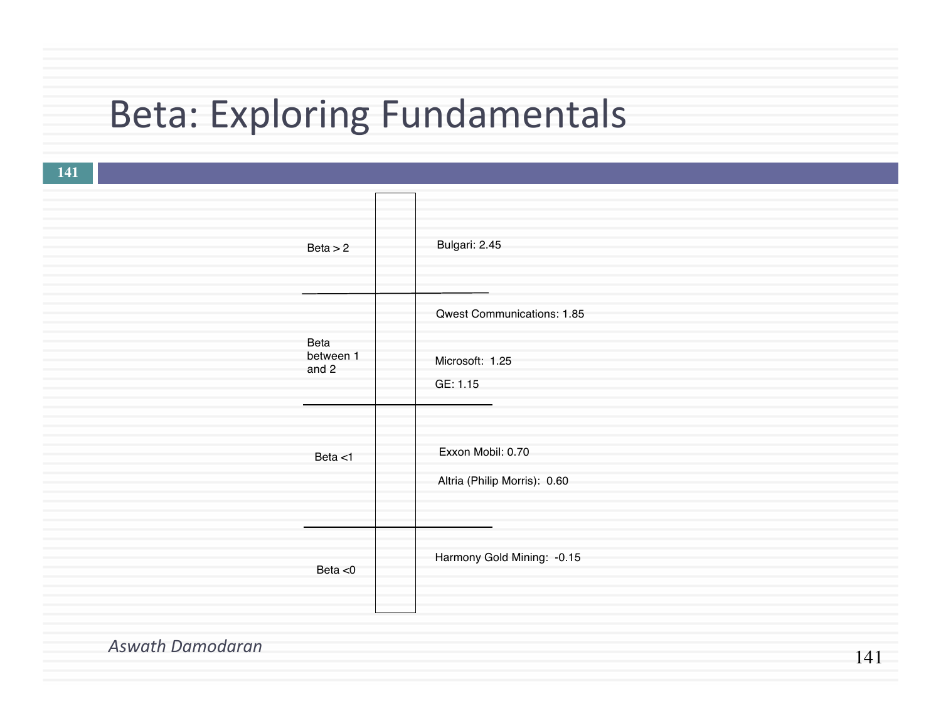## Beta: Exploring Fundamentals

|                         | Beta > 2                   | Bulgari: 2.45                                             |
|-------------------------|----------------------------|-----------------------------------------------------------|
|                         | Beta<br>between 1<br>and 2 | Qwest Communications: 1.85<br>Microsoft: 1.25<br>GE: 1.15 |
|                         | Beta $<$ 1                 | Exxon Mobil: 0.70<br>Altria (Philip Morris): 0.60         |
|                         | Beta $<$ 0                 | Harmony Gold Mining: - 0.15                               |
| <b>Aswath Damodaran</b> |                            | $-4 - 4 - 4$                                              |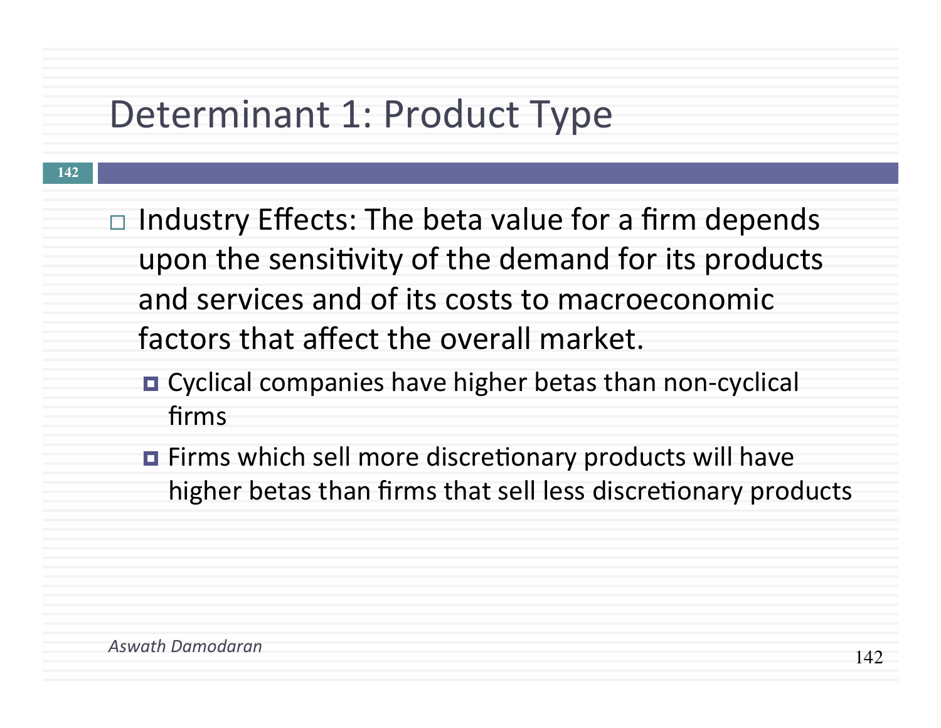### Determinant 1: Product Type

- $\Box$  Industry Effects: The beta value for a firm depends upon the sensitivity of the demand for its products and services and of its costs to macroeconomic factors that affect the overall market.
	- Cyclical companies have higher betas than non-cyclical firms
	- **Example Firms** which sell more discretionary products will have higher betas than firms that sell less discretionary products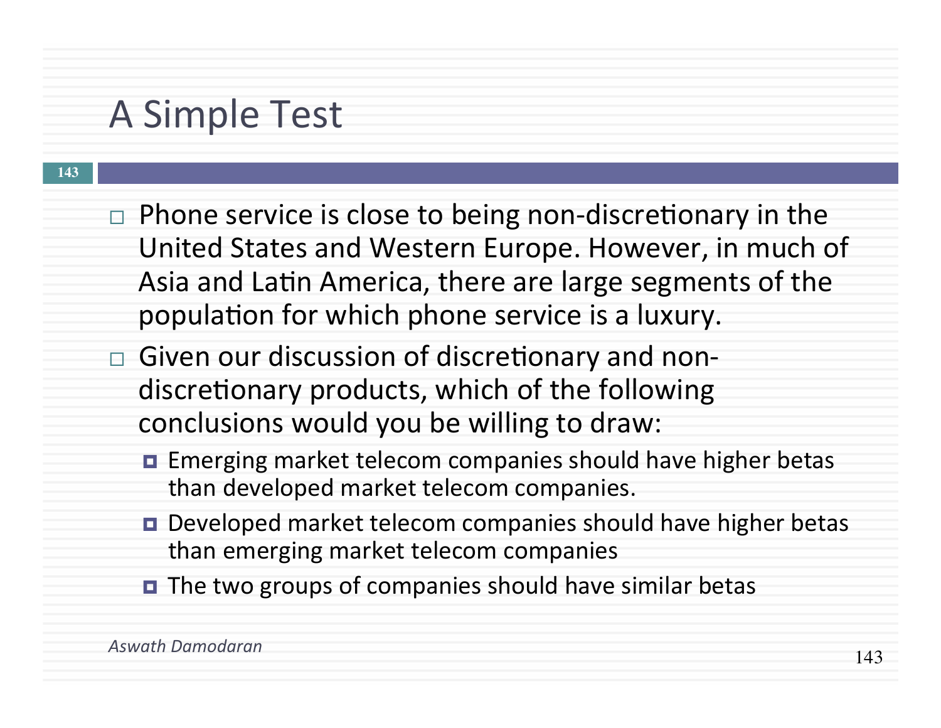### A Simple Test

- $\Box$  Phone service is close to being non-discretionary in the United States and Western Europe. However, in much of Asia and Latin America, there are large segments of the population for which phone service is a luxury.
- $\Box$  Given our discussion of discretionary and nondiscretionary products, which of the following conclusions would you be willing to draw:
	- Emerging market telecom companies should have higher betas than developed market telecom companies.
	- Developed market telecom companies should have higher betas than emerging market telecom companies
	- **□** The two groups of companies should have similar betas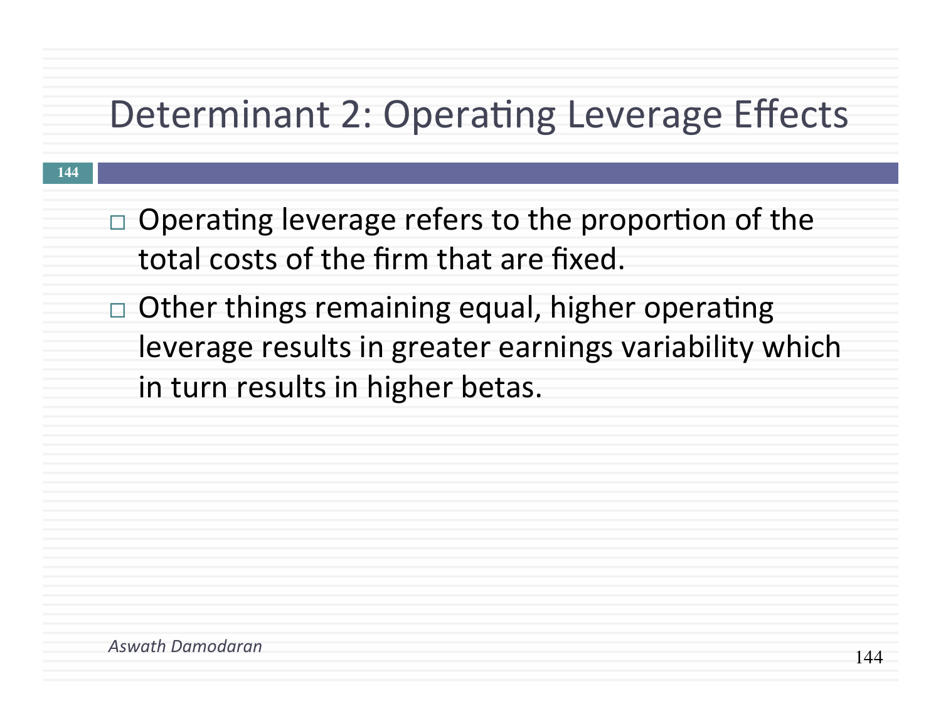### Determinant 2: Operating Leverage Effects

- $\Box$  Operating leverage refers to the proportion of the total costs of the firm that are fixed.
- $\Box$  Other things remaining equal, higher operating leverage results in greater earnings variability which in turn results in higher betas.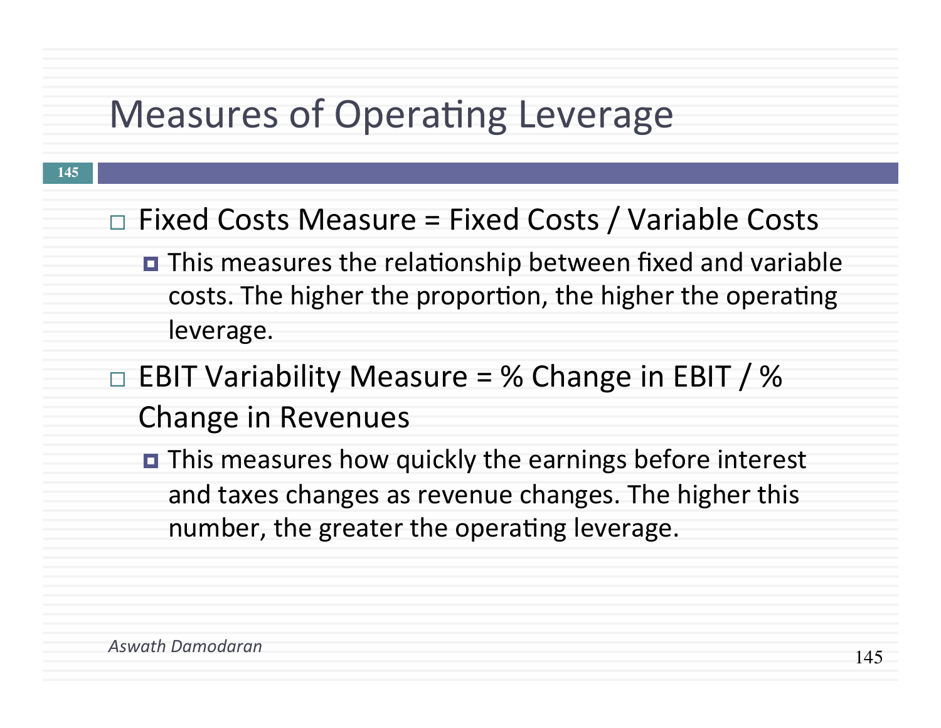### Measures of Operating Leverage

- $\Box$  Fixed Costs Measure = Fixed Costs / Variable Costs
	- This measures the relationship between fixed and variable costs. The higher the proportion, the higher the operating leverage.
- $\Box$  EBIT Variability Measure = % Change in EBIT / % Change in Revenues
	- $\blacksquare$  This measures how quickly the earnings before interest and taxes changes as revenue changes. The higher this number, the greater the operating leverage.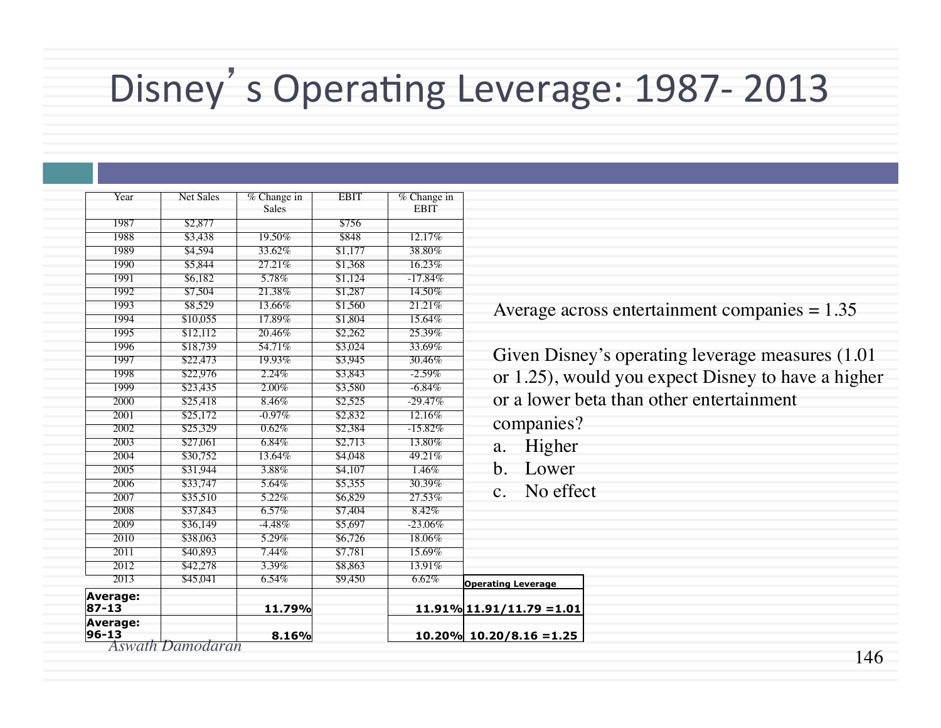# Disney's Operating Leverage: 1987- 2013

| Year                                      | <b>Net Sales</b> | $%$ Change in<br>Sales | <b>EBIT</b> | $%$ Change in<br><b>EBIT</b> |                              |
|-------------------------------------------|------------------|------------------------|-------------|------------------------------|------------------------------|
| 1987                                      | \$2,877          |                        | \$756       |                              |                              |
| 1988                                      | \$3,438          | 19.50%                 | \$848       | 12.17%                       |                              |
| 1989                                      | \$4,594          | 33.62%                 | \$1,177     | 38.80%                       |                              |
| 1990                                      | \$5,844          | 27.21%                 | \$1,368     | 16.23%                       |                              |
| 1991                                      | \$6,182          | 5.78%                  | \$1,124     | $-17.84%$                    |                              |
| 1992                                      | \$7,504          | 21.38%                 | \$1,287     | 14.50%                       |                              |
| 1993                                      | \$8,529          | 13.66%                 | \$1,560     | 21.21%                       |                              |
| 1994                                      | \$10,055         | 17.89%                 | \$1,804     | 15.64%                       | Average acr                  |
| 1995                                      | \$12,112         | 20.46%                 | \$2,262     | 25.39%                       |                              |
| 1996                                      | \$18,739         | 54.71%                 | \$3,024     | 33.69%                       |                              |
| 1997                                      | \$22,473         | 19.93%                 | \$3,945     | 30.46%                       | <b>Given Disne</b>           |
| 1998                                      | \$22,976         | 2.24%                  | \$3,843     | $-2.59\%$                    | or $1.25$ ), wo              |
| 1999                                      | \$23,435         | $2.00\%$               | \$3,580     | $-6.84\%$                    |                              |
| 2000                                      | \$25,418         | 8.46%                  | \$2,525     | $-29.47%$                    | or a lower b                 |
| 2001                                      | \$25,172         | $-0.97\%$              | \$2,832     | 12.16%                       |                              |
| 2002                                      | \$25,329         | 0.62%                  | \$2,384     | $-15.82%$                    | companies?                   |
| 2003                                      | \$27,061         | $6.84\%$               | \$2,713     | 13.80%                       | Higher<br>a.                 |
| 2004                                      | \$30,752         | 13.64%                 | \$4,048     | 49.21%                       |                              |
| 2005                                      | \$31,944         | 3.88%                  | \$4,107     | 1.46%                        | b.<br>Lower                  |
| 2006                                      | \$33,747         | 5.64%                  | \$5,355     | 30.39%                       |                              |
| 2007                                      | \$35,510         | 5.22%                  | \$6,829     | 27.53%                       | No effe<br>$\mathbf{c}$ .    |
| 2008                                      | \$37,843         | $6.57\%$               | \$7,404     | 8.42%                        |                              |
| 2009                                      | \$36,149         | $-4.48%$               | \$5,697     | $-23.06\%$                   |                              |
| 2010                                      | \$38,063         | 5.29%                  | \$6,726     | 18.06%                       |                              |
| 2011                                      | \$40,893         | 7.44%                  | \$7,781     | 15.69%                       |                              |
| 2012                                      | \$42,278         | $3.39\%$               | \$8,863     | 13.91%                       |                              |
| 2013                                      | \$45,041         | $6.54\%$               | \$9,450     | 6.62%                        | <b>Operating Leverage</b>    |
| Average:<br>$87 - 13$                     |                  | 11.79%                 |             |                              | $11.91\%$ 11.91/11.79 = 1.01 |
| Average:<br>$96 - 13$<br>Aswath Damodaran |                  | 8.16%                  |             |                              | $10.20\%$ 10.20/8.16 = 1.25  |

 $\text{erage across entertainment companies} = 1.35$ 

en Disney's operating leverage measures (1.01 .25), would you expect Disney to have a higher dower beta than other entertainment

- Higher
- Lower
- No effect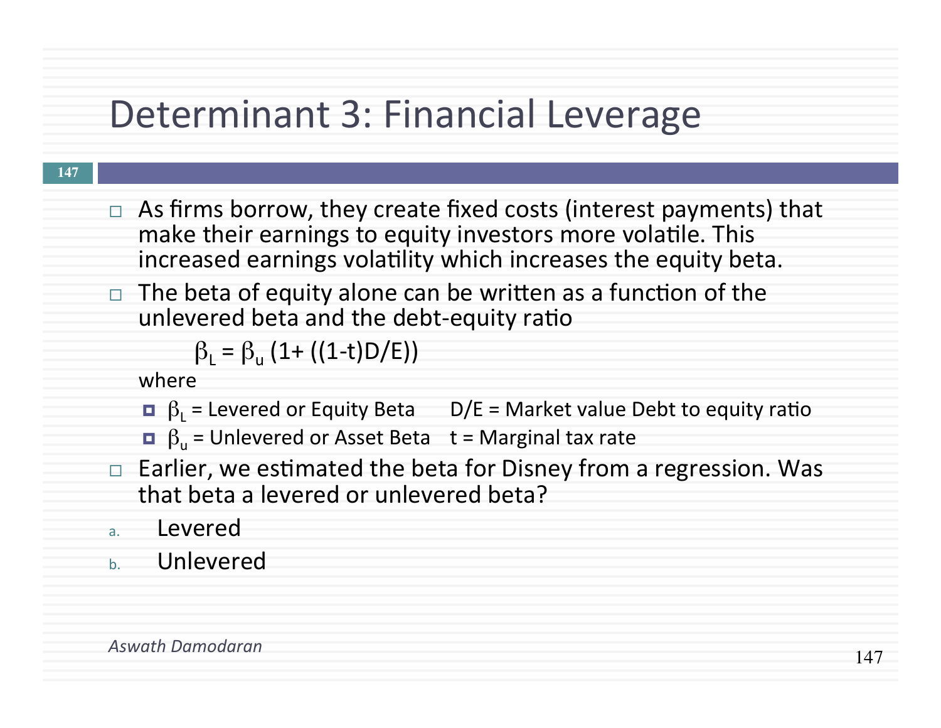### Determinant 3: Financial Leverage

#### **147**

- $\Box$  As firms borrow, they create fixed costs (interest payments) that make their earnings to equity investors more volatile. This increased earnings volatility which increases the equity beta.
- $\Box$  The beta of equity alone can be written as a function of the unlevered beta and the debt-equity ratio

 $\beta_1 = \beta_{11} (1+ ((1-t)D/E))$ 

where 

- $\Box$   $\beta_1$  = Levered or Equity Beta  $\Box$  D/E = Market value Debt to equity ratio
- $\Box$   $\beta_{\text{u}}$  = Unlevered or Asset Beta t = Marginal tax rate
- $\Box$  Earlier, we estimated the beta for Disney from a regression. Was that beta a levered or unlevered beta?
- a. Levered
- b. Unlevered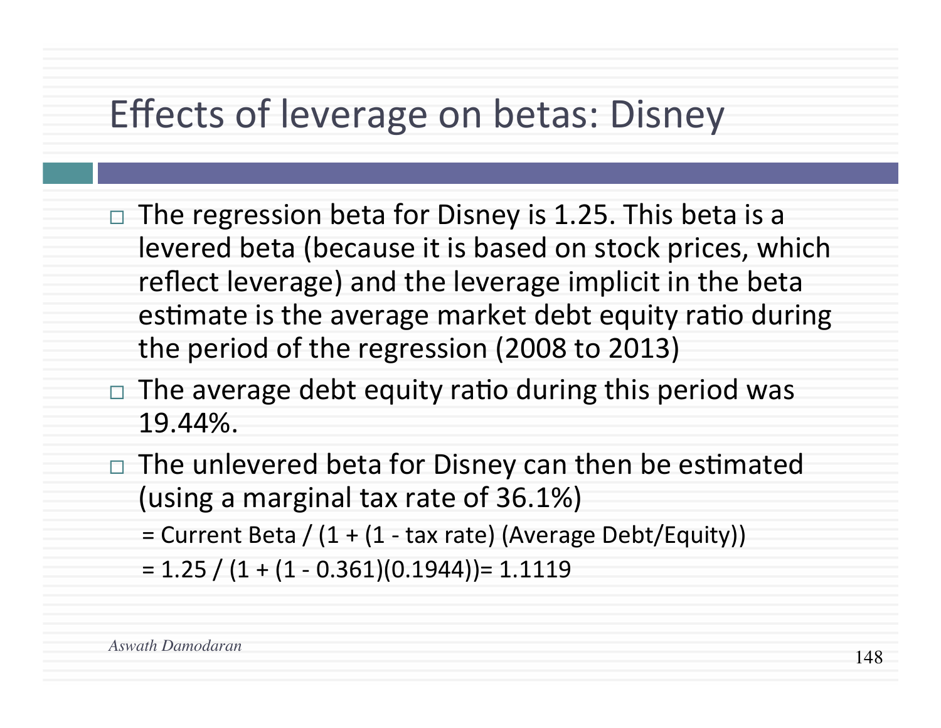### Effects of leverage on betas: Disney

- $\Box$  The regression beta for Disney is 1.25. This beta is a levered beta (because it is based on stock prices, which reflect leverage) and the leverage implicit in the beta estimate is the average market debt equity ratio during the period of the regression (2008 to 2013)
- $\Box$  The average debt equity ratio during this period was 19.44%.
- The unlevered beta for Disney can then be estimated (using a marginal tax rate of  $36.1\%$ )
	- $=$  Current Beta /  $(1 + (1 tax rate)$  (Average Debt/Equity))
	- $= 1.25 / (1 + (1 0.361)(0.1944)) = 1.1119$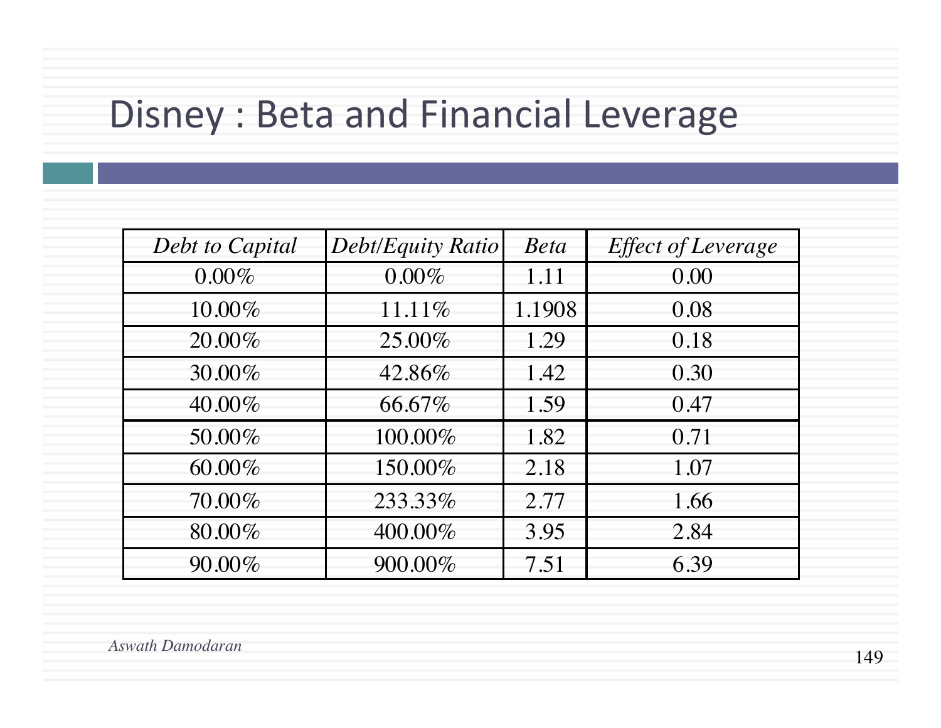### Disney : Beta and Financial Leverage

| Debt to Capital | Debt/Equity Ratio | <b>Beta</b> | <b>Effect of Leverage</b> |  |
|-----------------|-------------------|-------------|---------------------------|--|
| $0.00\%$        | $0.00\%$          | 1.11        | 0.00                      |  |
| 10.00%          | 11.11%            | 1.1908      | 0.08                      |  |
| 20.00%          | 25.00%            | 1.29        | 0.18                      |  |
| 30.00%          | 42.86%            | 1.42        | 0.30                      |  |
| 40.00%          | 66.67%            | 1.59        | 0.47                      |  |
| 50.00%          | 100.00%           | 1.82        | 0.71                      |  |
| 60.00%          | 150.00%           | 2.18        | 1.07                      |  |
| 70.00%          | 233.33%           | 2.77        | 1.66                      |  |
| 80.00%          | 400.00%           | 3.95        | 2.84                      |  |
| 90.00%          | 900.00%           | 7.51        | 6.39                      |  |

*Aswath Damodaran*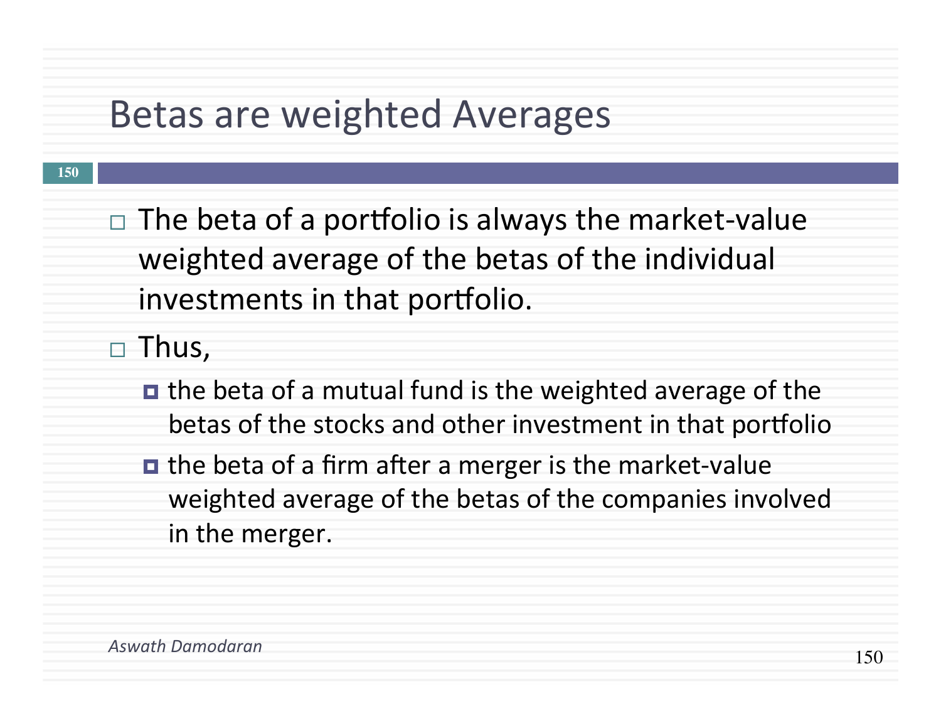### **Betas are weighted Averages**

 $\Box$  The beta of a portfolio is always the market-value weighted average of the betas of the individual investments in that portfolio.

 $\square$  Thus,

- $\blacksquare$  the beta of a mutual fund is the weighted average of the betas of the stocks and other investment in that portfolio
- $\blacksquare$  the beta of a firm after a merger is the market-value weighted average of the betas of the companies involved in the merger.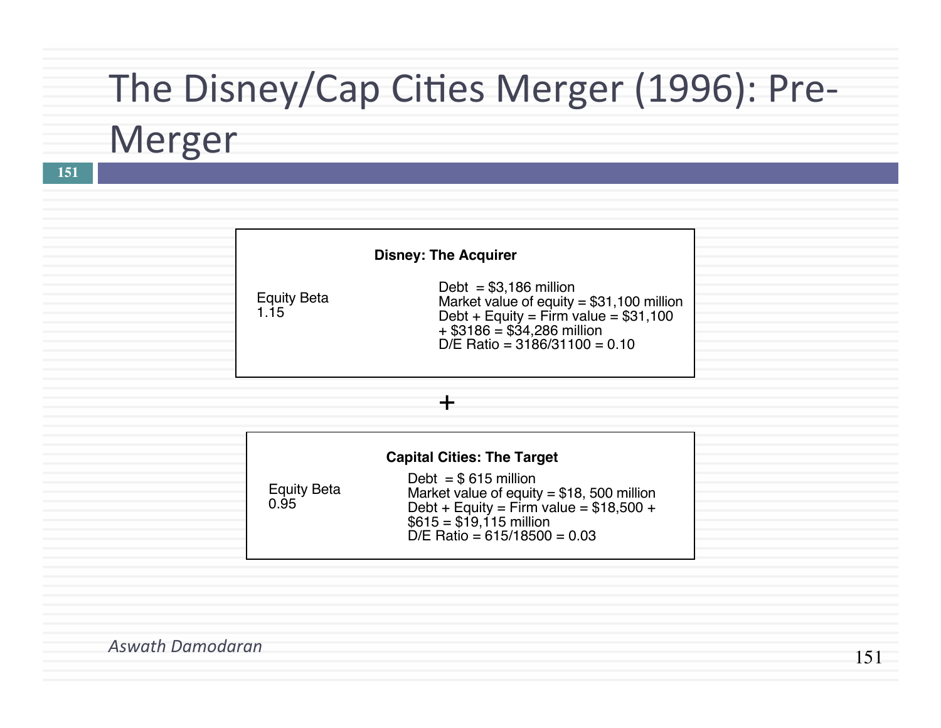## The Disney/Cap Cities Merger (1996): Pre-

## Merger

**151**

| <b>Disney: The Acquirer</b> |                                                                                                                                                                                     |  |  |  |  |  |  |
|-----------------------------|-------------------------------------------------------------------------------------------------------------------------------------------------------------------------------------|--|--|--|--|--|--|
| <b>Equity Beta</b><br>1.15  | Debt = $$3,186$ million<br>Market value of equity = $$31,100$ million<br>Debt + Equity = Firm value = $$31,100$<br>$+$ \$3186 = \$34,286 million<br>D/E Ratio = $3186/31100 = 0.10$ |  |  |  |  |  |  |

#### +

|                            | <b>Capital Cities: The Target</b>                                                                                                                                             |  |
|----------------------------|-------------------------------------------------------------------------------------------------------------------------------------------------------------------------------|--|
| <b>Equity Beta</b><br>0.95 | Debt = $$615$ million<br>Market value of equity = $$18,500$ million<br>Debt + Equity = Firm value = $$18,500 +$<br>$$615 = $19,115$ million<br>D/E Ratio = $615/18500 = 0.03$ |  |

*Aswath Damodaran*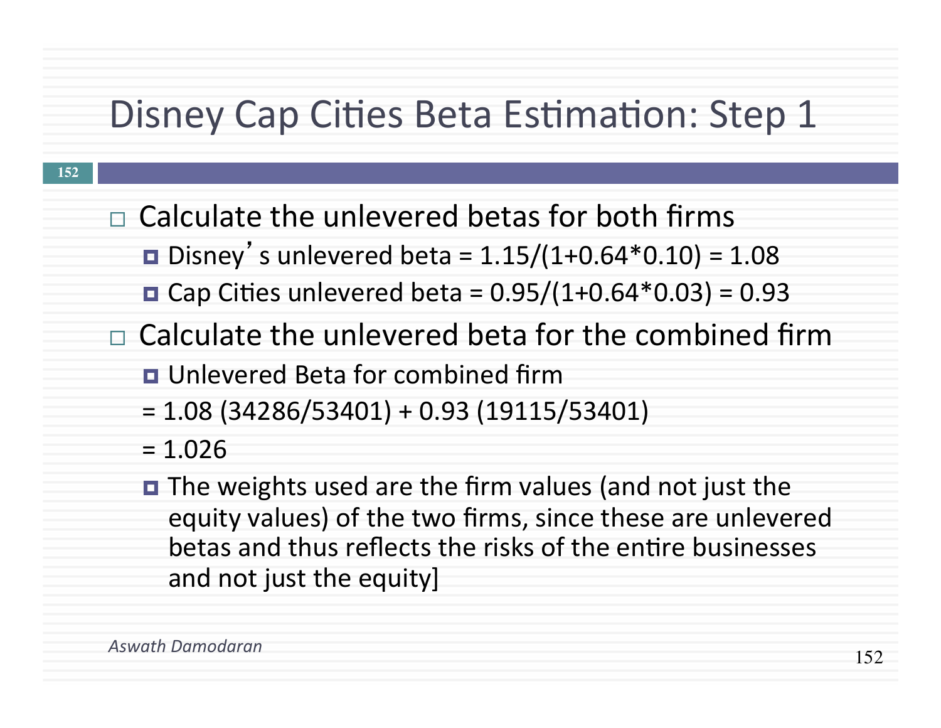### Disney Cap Cities Beta Estimation: Step 1

- $\Box$  Calculate the unlevered betas for both firms
	- $\blacksquare$  Disney's unlevered beta = 1.15/(1+0.64\*0.10) = 1.08
	- Cap Cities unlevered beta =  $0.95/(1+0.64*0.03) = 0.93$
- $\Box$  Calculate the unlevered beta for the combined firm
	- **<u>n</u>** Unlevered Beta for combined firm
	- $= 1.08$  (34286/53401) + 0.93 (19115/53401)
	- $= 1.026$
	- $\blacksquare$  The weights used are the firm values (and not just the equity values) of the two firms, since these are unlevered betas and thus reflects the risks of the entire businesses and not just the equity]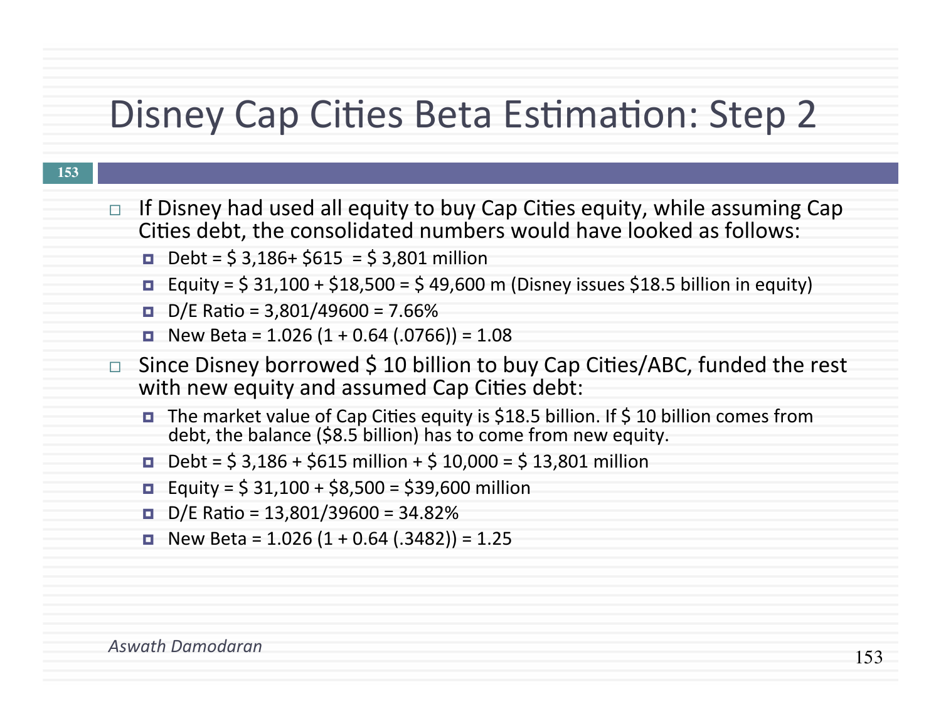### Disney Cap Cities Beta Estimation: Step 2

- If Disney had used all equity to buy Cap Cities equity, while assuming Cap Cities debt, the consolidated numbers would have looked as follows:
	- $\blacksquare$  Debt = \$ 3,186+ \$615 = \$ 3,801 million
	- **Equity** =  $\sin 31,100 + \sin 518,500 = \sin 49,600$  m (Disney issues  $\sin 5$  billion in equity)
	- $\blacksquare$  D/E Ratio = 3,801/49600 = 7.66%
	- $\blacksquare$  New Beta = 1.026 (1 + 0.64 (.0766)) = 1.08
- $\Box$  Since Disney borrowed \$ 10 billion to buy Cap Cities/ABC, funded the rest with new equity and assumed Cap Cities debt:
	- The market value of Cap Cities equity is \$18.5 billion. If \$ 10 billion comes from debt, the balance (\$8.5 billion) has to come from new equity.
	- $\blacksquare$  Debt = \$ 3,186 + \$615 million + \$ 10,000 = \$ 13,801 million
	- $\blacksquare$  Equity = \$ 31,100 + \$8,500 = \$39,600 million
	- $\blacksquare$  D/E Ratio = 13,801/39600 = 34.82%
	- $\blacksquare$  New Beta = 1.026 (1 + 0.64 (.3482)) = 1.25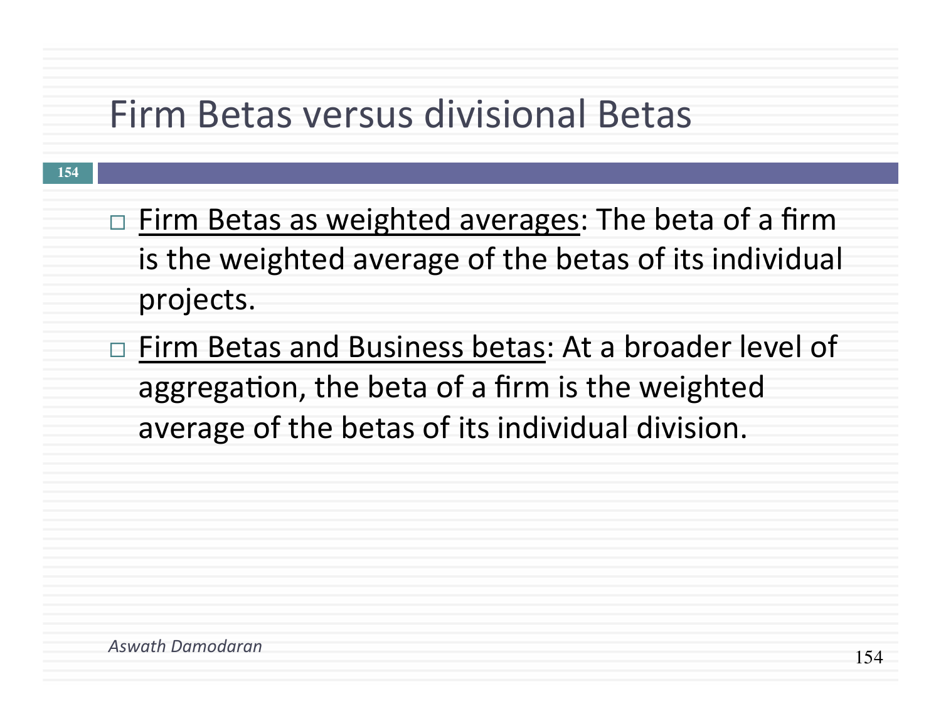### Firm Betas versus divisional Betas

- $\Box$  Firm Betas as weighted averages: The beta of a firm is the weighted average of the betas of its individual projects.
- $\Box$  Firm Betas and Business betas: At a broader level of aggregation, the beta of a firm is the weighted average of the betas of its individual division.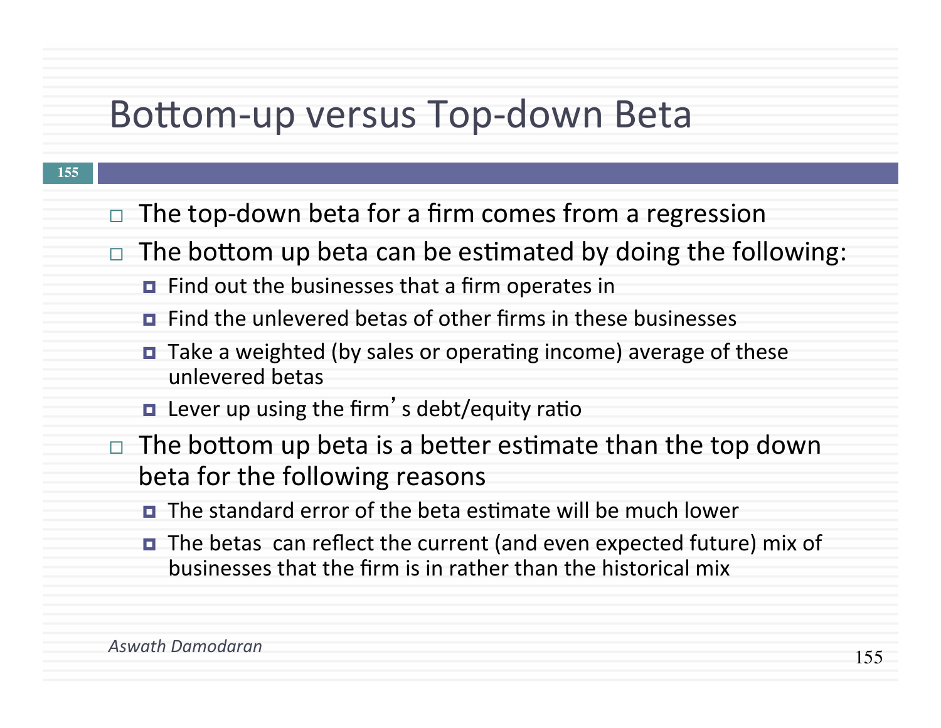### Bottom-up versus Top-down Beta

- The top-down beta for a firm comes from a regression
- $\Box$  The bottom up beta can be estimated by doing the following:
	- $\blacksquare$  Find out the businesses that a firm operates in
	- $\blacksquare$  Find the unlevered betas of other firms in these businesses
	- Take a weighted (by sales or operating income) average of these unlevered betas
	- $\blacksquare$  Lever up using the firm's debt/equity ratio
- The bottom up beta is a better estimate than the top down beta for the following reasons
	- $\blacksquare$  The standard error of the beta estimate will be much lower
	- $\blacksquare$  The betas can reflect the current (and even expected future) mix of businesses that the firm is in rather than the historical mix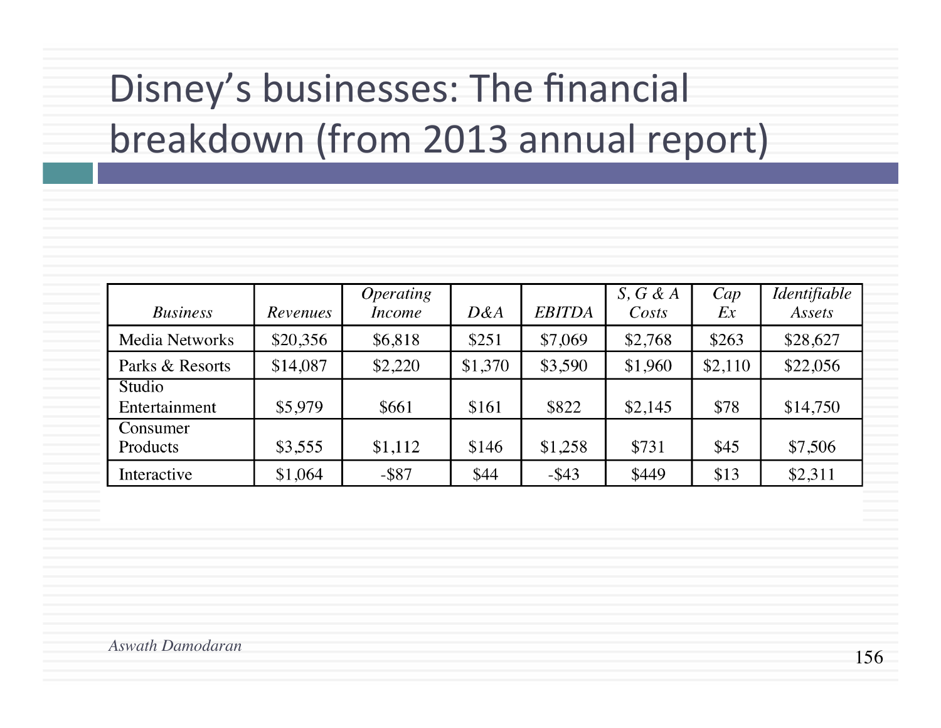# Disney's businesses: The financial breakdown (from 2013 annual report)

| <b>Business</b>         | Revenues | <i>Operating</i><br><i>Income</i> | D&A     | <b>EBITDA</b> | $S, G \& A$<br>Costs | Cap<br>Ex | Identifiable<br>Assets |
|-------------------------|----------|-----------------------------------|---------|---------------|----------------------|-----------|------------------------|
| <b>Media Networks</b>   | \$20,356 | \$6,818                           | \$251   | \$7,069       | \$2,768              | \$263     | \$28,627               |
| Parks & Resorts         | \$14,087 | \$2,220                           | \$1,370 | \$3,590       | \$1,960              | \$2,110   | \$22,056               |
| Studio<br>Entertainment | \$5,979  | \$661                             | \$161   | \$822         | \$2,145              | \$78      | \$14,750               |
| Consumer<br>Products    | \$3,555  | \$1,112                           | \$146   | \$1,258       | \$731                | \$45      | \$7,506                |
| Interactive             | \$1,064  | $-$ \$87                          | \$44    | $-$ \$43      | \$449                | \$13      | \$2,311                |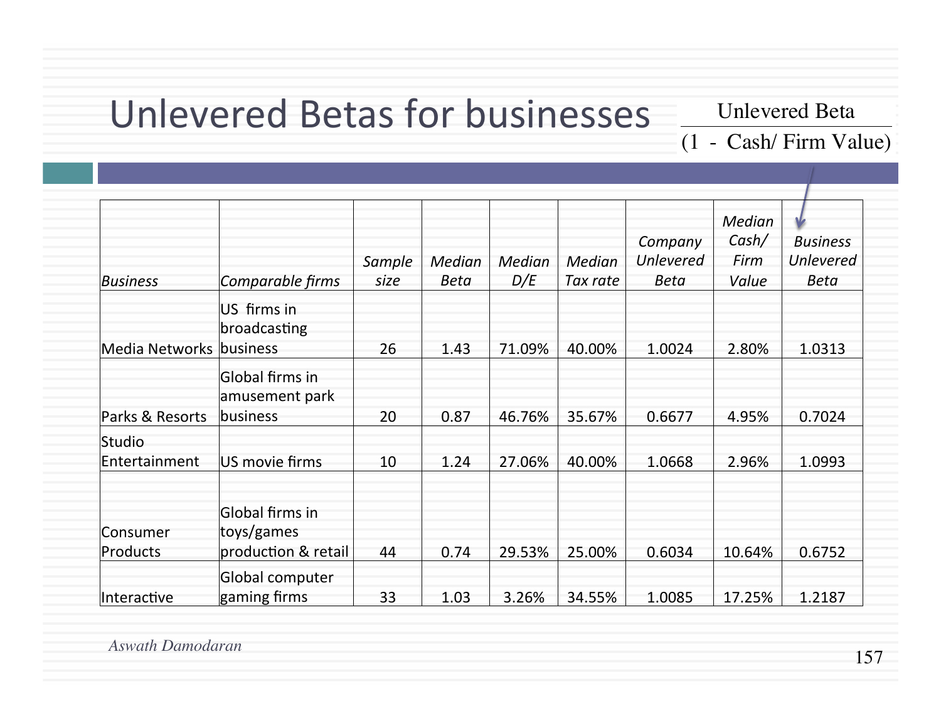### Unlevered Betas for businesses

Unlevered Beta

(1 - Cash/ Firm Value)

| <b>Business</b>         | Comparable firms                                     | Sample<br>size | Median<br><b>Beta</b> | Median<br>D/E | Median<br>Tax rate | Company<br>Unlevered<br>Beta | Median<br>Cash/<br>Firm<br>Value | <b>Business</b><br><b>Unlevered</b><br>Beta |
|-------------------------|------------------------------------------------------|----------------|-----------------------|---------------|--------------------|------------------------------|----------------------------------|---------------------------------------------|
| Media Networks          | US firms in<br>broadcasting<br>business              | 26             | 1.43                  | 71.09%        | 40.00%             | 1.0024                       | 2.80%                            | 1.0313                                      |
| Parks & Resorts         | Global firms in<br>amusement park<br>business        | 20             | 0.87                  | 46.76%        | 35.67%             | 0.6677                       | 4.95%                            | 0.7024                                      |
| Studio<br>Entertainment | US movie firms                                       | 10             | 1.24                  | 27.06%        | 40.00%             | 1.0668                       | 2.96%                            | 1.0993                                      |
| Consumer<br>Products    | Global firms in<br>toys/games<br>production & retail | 44             | 0.74                  | 29.53%        | 25.00%             | 0.6034                       | 10.64%                           | 0.6752                                      |
| Interactive             | Global computer<br>gaming firms                      | 33             | 1.03                  | 3.26%         | 34.55%             | 1.0085                       | 17.25%                           | 1.2187                                      |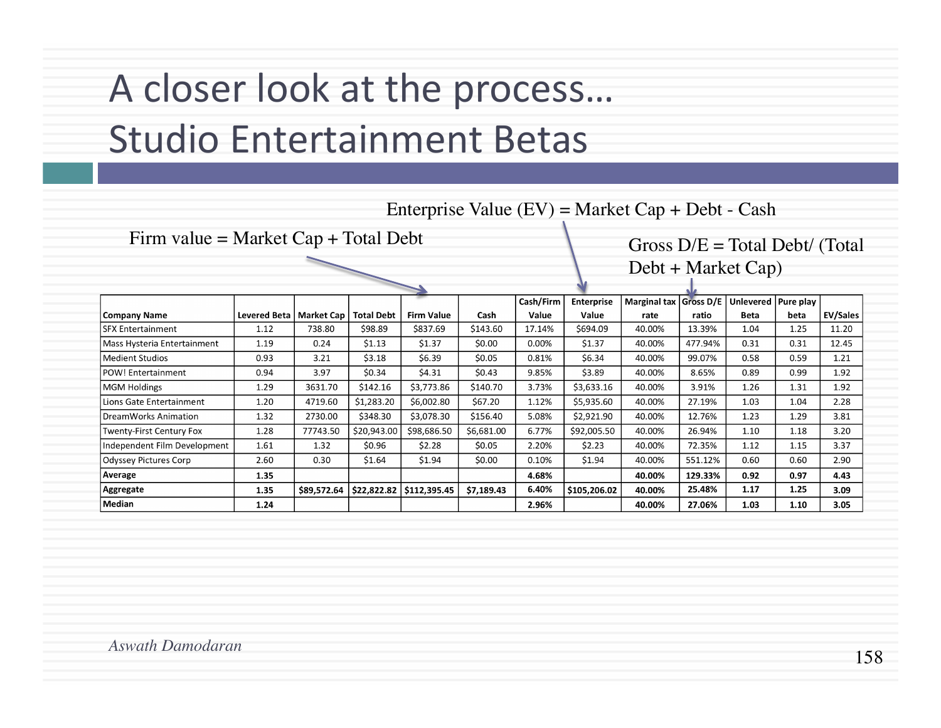## A closer look at the process... Studio Entertainment Betas

| Enterprise Value $(EV)$ = Market Cap + Debt - Cash |                           |             |                   |                   |            |           |                   |                                 |         |                       |      |                 |
|----------------------------------------------------|---------------------------|-------------|-------------------|-------------------|------------|-----------|-------------------|---------------------------------|---------|-----------------------|------|-----------------|
| Firm value = Market $Cap + Total$ Debt             |                           |             |                   |                   |            |           |                   | Gross $D/E = Total Det/$ (Total |         |                       |      |                 |
|                                                    |                           |             |                   |                   |            |           |                   | $Debt + Market Cap)$            |         |                       |      |                 |
|                                                    |                           |             |                   |                   |            |           |                   |                                 |         |                       |      |                 |
|                                                    |                           |             |                   |                   |            | Cash/Firm | <b>Enterprise</b> | Marginal tax   Gross D/E        |         | Unlevered   Pure play |      |                 |
| <b>Company Name</b>                                | Levered Beta   Market Cap |             | <b>Total Debt</b> | <b>Firm Value</b> | Cash       | Value     | Value             | rate                            | ratio   | <b>Beta</b>           | beta | <b>EV/Sales</b> |
| <b>SFX Entertainment</b>                           | 1.12                      | 738.80      | \$98.89           | \$837.69          | \$143.60   | 17.14%    | \$694.09          | 40.00%                          | 13.39%  | 1.04                  | 1.25 | 11.20           |
| Mass Hysteria Entertainment                        | 1.19                      | 0.24        | \$1.13            | \$1.37            | \$0.00     | 0.00%     | \$1.37            | 40.00%                          | 477.94% | 0.31                  | 0.31 | 12.45           |
| <b>Medient Studios</b>                             | 0.93                      | 3.21        | \$3.18            | \$6.39            | \$0.05     | 0.81%     | \$6.34            | 40.00%                          | 99.07%  | 0.58                  | 0.59 | 1.21            |
| POW! Entertainment                                 | 0.94                      | 3.97        | \$0.34            | \$4.31            | \$0.43     | 9.85%     | \$3.89            | 40.00%                          | 8.65%   | 0.89                  | 0.99 | 1.92            |
| <b>MGM Holdings</b>                                | 1.29                      | 3631.70     | \$142.16          | \$3,773.86        | \$140.70   | 3.73%     | \$3,633.16        | 40.00%                          | 3.91%   | 1.26                  | 1.31 | 1.92            |
| Lions Gate Entertainment                           | 1.20                      | 4719.60     | \$1,283.20        | \$6,002.80        | \$67.20    | 1.12%     | \$5,935.60        | 40.00%                          | 27.19%  | 1.03                  | 1.04 | 2.28            |
| DreamWorks Animation                               | 1.32                      | 2730.00     | \$348.30          | \$3,078.30        | \$156.40   | 5.08%     | \$2,921.90        | 40.00%                          | 12.76%  | 1.23                  | 1.29 | 3.81            |
| Twenty-First Century Fox                           | 1.28                      | 77743.50    | \$20,943.00       | \$98,686.50       | \$6,681.00 | 6.77%     | \$92,005.50       | 40.00%                          | 26.94%  | 1.10                  | 1.18 | 3.20            |
| Independent Film Development                       | 1.61                      | 1.32        | \$0.96            | \$2.28            | \$0.05     | 2.20%     | \$2.23            | 40.00%                          | 72.35%  | 1.12                  | 1.15 | 3.37            |
| <b>Odyssey Pictures Corp</b>                       | 2.60                      | 0.30        | \$1.64            | \$1.94            | \$0.00     | 0.10%     | \$1.94            | 40.00%                          | 551.12% | 0.60                  | 0.60 | 2.90            |
| Average                                            | 1.35                      |             |                   |                   |            | 4.68%     |                   | 40.00%                          | 129.33% | 0.92                  | 0.97 | 4.43            |
| Aggregate                                          | 1.35                      | \$89,572.64 | \$22,822.82       | \$112,395.45      | \$7,189.43 | 6.40%     | \$105,206.02      | 40.00%                          | 25.48%  | 1.17                  | 1.25 | 3.09            |
| Median                                             | 1.24                      |             |                   |                   |            | 2.96%     |                   | 40.00%                          | 27.06%  | 1.03                  | 1.10 | 3.05            |